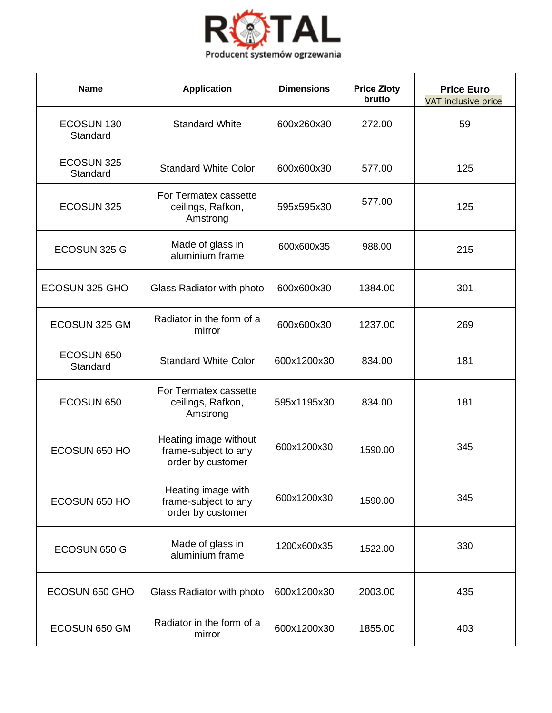

| <b>Name</b>            | <b>Application</b>                                                 | <b>Dimensions</b> | <b>Price Złoty</b><br>brutto | <b>Price Euro</b><br>VAT inclusive price |
|------------------------|--------------------------------------------------------------------|-------------------|------------------------------|------------------------------------------|
| ECOSUN 130<br>Standard | <b>Standard White</b>                                              | 600x260x30        | 272.00                       | 59                                       |
| ECOSUN 325<br>Standard | <b>Standard White Color</b>                                        | 600x600x30        | 577.00                       | 125                                      |
| ECOSUN 325             | For Termatex cassette<br>ceilings, Rafkon,<br>Amstrong             | 595x595x30        | 577.00                       | 125                                      |
| ECOSUN 325 G           | Made of glass in<br>aluminium frame                                | 600x600x35        | 988.00                       | 215                                      |
| ECOSUN 325 GHO         | Glass Radiator with photo                                          | 600x600x30        | 1384.00                      | 301                                      |
| ECOSUN 325 GM          | Radiator in the form of a<br>mirror                                | 600x600x30        | 1237.00                      | 269                                      |
| ECOSUN 650<br>Standard | <b>Standard White Color</b>                                        | 600x1200x30       | 834.00                       | 181                                      |
| ECOSUN 650             | For Termatex cassette<br>ceilings, Rafkon,<br>Amstrong             | 595x1195x30       | 834.00                       | 181                                      |
| ECOSUN 650 HO          | Heating image without<br>frame-subject to any<br>order by customer | 600x1200x30       | 1590.00                      | 345                                      |
| ECOSUN 650 HO          | Heating image with<br>frame-subject to any<br>order by customer    | 600x1200x30       | 1590.00                      | 345                                      |
| ECOSUN 650 G           | Made of glass in<br>aluminium frame                                | 1200x600x35       | 1522.00                      | 330                                      |
| ECOSUN 650 GHO         | Glass Radiator with photo                                          | 600x1200x30       | 2003.00                      | 435                                      |
| ECOSUN 650 GM          | Radiator in the form of a<br>mirror                                | 600x1200x30       | 1855.00                      | 403                                      |